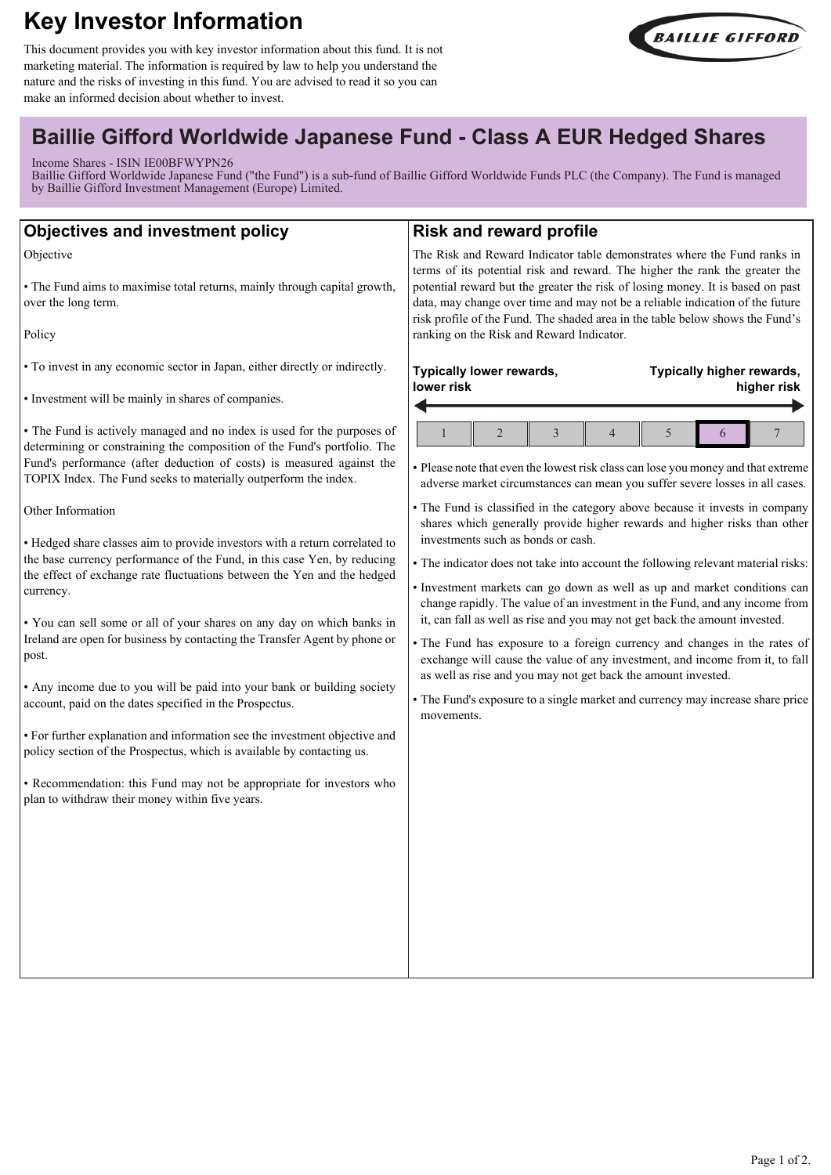# **Key Investor Information**

This document provides you with key investor information about this fund. It is not marketing material. The information is required by law to help you understand the nature and the risks of investing in this fund. You are advised to read it so you can make an informed decision about whether to invest.



# **Baillie Gifford Worldwide Japanese Fund - Class A EUR Hedged Shares**

#### Income Shares - ISIN IE00BFWYPN26

Baillie Gifford Worldwide Japanese Fund ("the Fund") is a sub-fund of Baillie Gifford Worldwide Funds PLC (the Company). The Fund is managed by Baillie Gifford Investment Management (Europe) Limited.

| <b>Objectives and investment policy</b>                                                                                                                                                                                                                                                                                                                                                                                                                                                                                                                                                                                                                                                                                                                                                                                                                                                                                                                                                                                                                                                                                                                                                                                                                                                                 | <b>Risk and reward profile</b>                                                                                                                                                                                                                                                                                                                                                                                                                                                                                                                                                                                                                                                                                                                                                                                                                                                                                                                                                                                                                                                                                                                                                |
|---------------------------------------------------------------------------------------------------------------------------------------------------------------------------------------------------------------------------------------------------------------------------------------------------------------------------------------------------------------------------------------------------------------------------------------------------------------------------------------------------------------------------------------------------------------------------------------------------------------------------------------------------------------------------------------------------------------------------------------------------------------------------------------------------------------------------------------------------------------------------------------------------------------------------------------------------------------------------------------------------------------------------------------------------------------------------------------------------------------------------------------------------------------------------------------------------------------------------------------------------------------------------------------------------------|-------------------------------------------------------------------------------------------------------------------------------------------------------------------------------------------------------------------------------------------------------------------------------------------------------------------------------------------------------------------------------------------------------------------------------------------------------------------------------------------------------------------------------------------------------------------------------------------------------------------------------------------------------------------------------------------------------------------------------------------------------------------------------------------------------------------------------------------------------------------------------------------------------------------------------------------------------------------------------------------------------------------------------------------------------------------------------------------------------------------------------------------------------------------------------|
| Objective<br>• The Fund aims to maximise total returns, mainly through capital growth,<br>over the long term.<br>Policy                                                                                                                                                                                                                                                                                                                                                                                                                                                                                                                                                                                                                                                                                                                                                                                                                                                                                                                                                                                                                                                                                                                                                                                 | The Risk and Reward Indicator table demonstrates where the Fund ranks in<br>terms of its potential risk and reward. The higher the rank the greater the<br>potential reward but the greater the risk of losing money. It is based on past<br>data, may change over time and may not be a reliable indication of the future<br>risk profile of the Fund. The shaded area in the table below shows the Fund's<br>ranking on the Risk and Reward Indicator.                                                                                                                                                                                                                                                                                                                                                                                                                                                                                                                                                                                                                                                                                                                      |
| • To invest in any economic sector in Japan, either directly or indirectly.<br>• Investment will be mainly in shares of companies.<br>• The Fund is actively managed and no index is used for the purposes of<br>determining or constraining the composition of the Fund's portfolio. The<br>Fund's performance (after deduction of costs) is measured against the<br>TOPIX Index. The Fund seeks to materially outperform the index.<br>Other Information<br>• Hedged share classes aim to provide investors with a return correlated to<br>the base currency performance of the Fund, in this case Yen, by reducing<br>the effect of exchange rate fluctuations between the Yen and the hedged<br>currency.<br>. You can sell some or all of your shares on any day on which banks in<br>Ireland are open for business by contacting the Transfer Agent by phone or<br>post.<br>• Any income due to you will be paid into your bank or building society<br>account, paid on the dates specified in the Prospectus.<br>• For further explanation and information see the investment objective and<br>policy section of the Prospectus, which is available by contacting us.<br>• Recommendation: this Fund may not be appropriate for investors who<br>plan to withdraw their money within five years. | Typically lower rewards,<br>Typically higher rewards,<br>lower risk<br>higher risk<br>$\overline{2}$<br>$\mathfrak s$<br>3<br>4<br>7<br>6<br>• Please note that even the lowest risk class can lose you money and that extreme<br>adverse market circumstances can mean you suffer severe losses in all cases.<br>• The Fund is classified in the category above because it invests in company<br>shares which generally provide higher rewards and higher risks than other<br>investments such as bonds or cash.<br>• The indicator does not take into account the following relevant material risks:<br>· Investment markets can go down as well as up and market conditions can<br>change rapidly. The value of an investment in the Fund, and any income from<br>it, can fall as well as rise and you may not get back the amount invested.<br>· The Fund has exposure to a foreign currency and changes in the rates of<br>exchange will cause the value of any investment, and income from it, to fall<br>as well as rise and you may not get back the amount invested.<br>• The Fund's exposure to a single market and currency may increase share price<br>movements. |